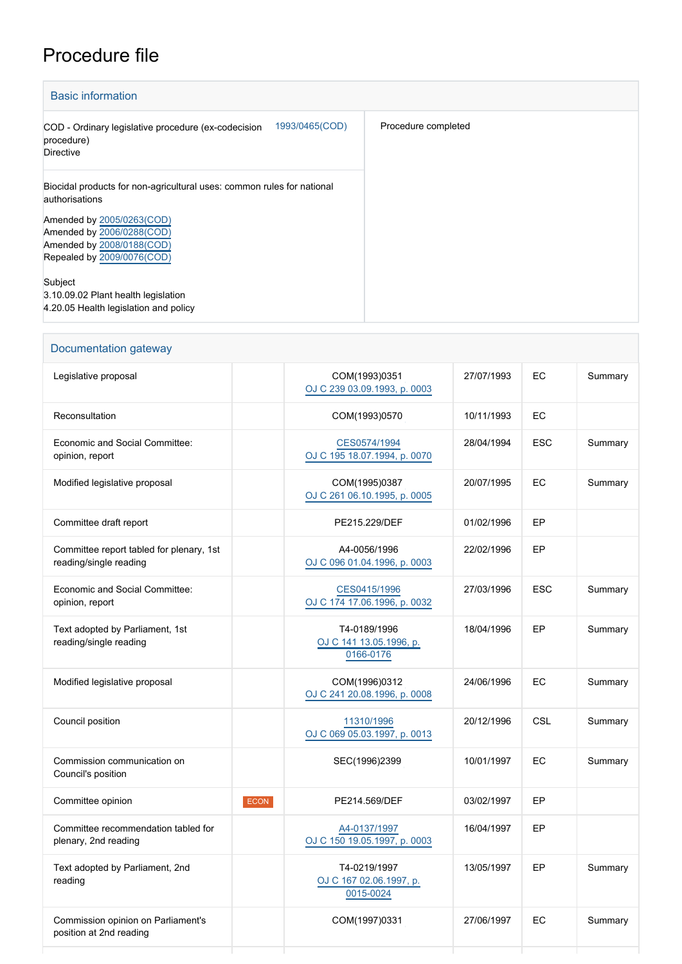## Procedure file

| <b>Basic information</b>                                                                                          |                     |
|-------------------------------------------------------------------------------------------------------------------|---------------------|
| 1993/0465(COD)<br>COD - Ordinary legislative procedure (ex-codecision<br>procedure)<br><b>Directive</b>           | Procedure completed |
| Biocidal products for non-agricultural uses: common rules for national<br>authorisations                          |                     |
| Amended by 2005/0263(COD)<br>Amended by 2006/0288(COD)<br>Amended by 2008/0188(COD)<br>Repealed by 2009/0076(COD) |                     |
| Subject<br>3.10.09.02 Plant health legislation<br>4.20.05 Health legislation and policy                           |                     |

| Documentation gateway                                              |      |                                                      |            |            |         |  |
|--------------------------------------------------------------------|------|------------------------------------------------------|------------|------------|---------|--|
| Legislative proposal                                               |      | COM(1993)0351<br>OJ C 239 03.09.1993, p. 0003        | 27/07/1993 | EC         | Summary |  |
| Reconsultation                                                     |      | COM(1993)0570                                        | 10/11/1993 | EC         |         |  |
| <b>Economic and Social Committee:</b><br>opinion, report           |      | CES0574/1994<br>OJ C 195 18.07.1994, p. 0070         | 28/04/1994 | <b>ESC</b> | Summary |  |
| Modified legislative proposal                                      |      | COM(1995)0387<br>OJ C 261 06.10.1995, p. 0005        | 20/07/1995 | EC         | Summary |  |
| Committee draft report                                             |      | PE215.229/DEF                                        | 01/02/1996 | EР         |         |  |
| Committee report tabled for plenary, 1st<br>reading/single reading |      | A4-0056/1996<br>OJ C 096 01.04.1996, p. 0003         | 22/02/1996 | EP         |         |  |
| Economic and Social Committee:<br>opinion, report                  |      | CES0415/1996<br>OJ C 174 17.06.1996, p. 0032         | 27/03/1996 | <b>ESC</b> | Summary |  |
| Text adopted by Parliament, 1st<br>reading/single reading          |      | T4-0189/1996<br>OJ C 141 13.05.1996, p.<br>0166-0176 | 18/04/1996 | EP         | Summary |  |
| Modified legislative proposal                                      |      | COM(1996)0312<br>OJ C 241 20.08.1996, p. 0008        | 24/06/1996 | EC         | Summary |  |
| Council position                                                   |      | 11310/1996<br>OJ C 069 05.03.1997, p. 0013           | 20/12/1996 | CSL        | Summary |  |
| Commission communication on<br>Council's position                  |      | SEC(1996)2399                                        | 10/01/1997 | EC         | Summary |  |
| Committee opinion                                                  | ECON | PE214.569/DEF                                        | 03/02/1997 | EP         |         |  |
| Committee recommendation tabled for<br>plenary, 2nd reading        |      | A4-0137/1997<br>OJ C 150 19.05.1997, p. 0003         | 16/04/1997 | EP         |         |  |
| Text adopted by Parliament, 2nd<br>reading                         |      | T4-0219/1997<br>OJ C 167 02.06.1997, p.<br>0015-0024 | 13/05/1997 | EP         | Summary |  |
| Commission opinion on Parliament's<br>position at 2nd reading      |      | COM(1997)0331                                        | 27/06/1997 | EC         | Summary |  |